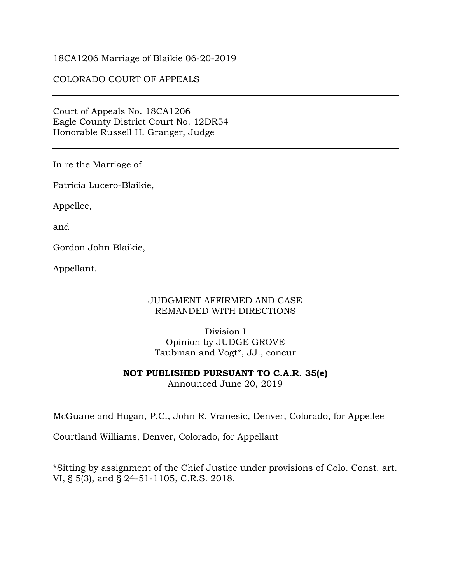### 18CA1206 Marriage of Blaikie 06-20-2019

## COLORADO COURT OF APPEALS

Court of Appeals No. 18CA1206 Eagle County District Court No. 12DR54 Honorable Russell H. Granger, Judge

In re the Marriage of

Patricia Lucero-Blaikie,

Appellee,

and

Gordon John Blaikie,

Appellant.

### JUDGMENT AFFIRMED AND CASE REMANDED WITH DIRECTIONS

Division I Opinion by JUDGE GROVE Taubman and Vogt\*, JJ., concur

#### **NOT PUBLISHED PURSUANT TO C.A.R. 35(e)**

Announced June 20, 2019

McGuane and Hogan, P.C., John R. Vranesic, Denver, Colorado, for Appellee

Courtland Williams, Denver, Colorado, for Appellant

\*Sitting by assignment of the Chief Justice under provisions of Colo. Const. art. VI, § 5(3), and § 24-51-1105, C.R.S. 2018.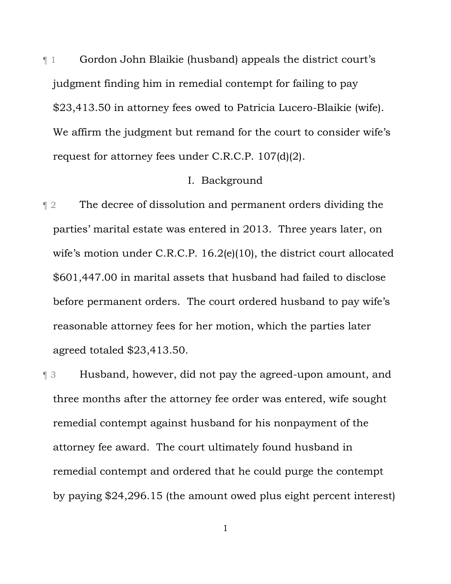¶ 1 Gordon John Blaikie (husband) appeals the district court's judgment finding him in remedial contempt for failing to pay \$23,413.50 in attorney fees owed to Patricia Lucero-Blaikie (wife). We affirm the judgment but remand for the court to consider wife's request for attorney fees under C.R.C.P. 107(d)(2).

# I. Background

¶ 2 The decree of dissolution and permanent orders dividing the parties' marital estate was entered in 2013. Three years later, on wife's motion under C.R.C.P. 16.2(e)(10), the district court allocated \$601,447.00 in marital assets that husband had failed to disclose before permanent orders. The court ordered husband to pay wife's reasonable attorney fees for her motion, which the parties later agreed totaled \$23,413.50.

¶ 3 Husband, however, did not pay the agreed-upon amount, and three months after the attorney fee order was entered, wife sought remedial contempt against husband for his nonpayment of the attorney fee award. The court ultimately found husband in remedial contempt and ordered that he could purge the contempt by paying \$24,296.15 (the amount owed plus eight percent interest)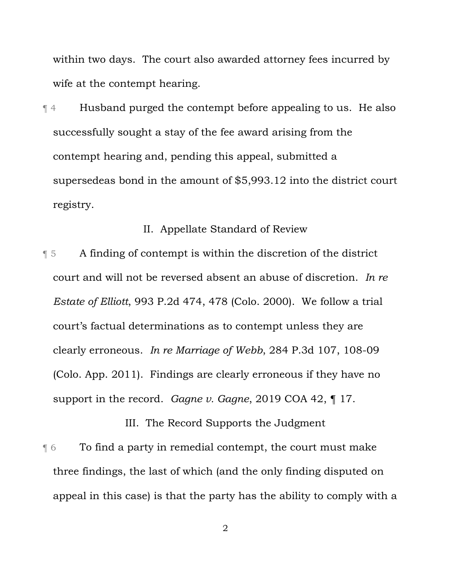within two days. The court also awarded attorney fees incurred by wife at the contempt hearing.

¶ 4 Husband purged the contempt before appealing to us. He also successfully sought a stay of the fee award arising from the contempt hearing and, pending this appeal, submitted a supersedeas bond in the amount of \$5,993.12 into the district court registry.

#### II. Appellate Standard of Review

¶ 5 A finding of contempt is within the discretion of the district court and will not be reversed absent an abuse of discretion. *In re Estate of Elliott*, 993 P.2d 474, 478 (Colo. 2000). We follow a trial court's factual determinations as to contempt unless they are clearly erroneous. *In re Marriage of Webb*, 284 P.3d 107, 108-09 (Colo. App. 2011). Findings are clearly erroneous if they have no support in the record. *Gagne v. Gagne*, 2019 COA 42, ¶ 17.

III. The Record Supports the Judgment ¶ 6 To find a party in remedial contempt, the court must make three findings, the last of which (and the only finding disputed on appeal in this case) is that the party has the ability to comply with a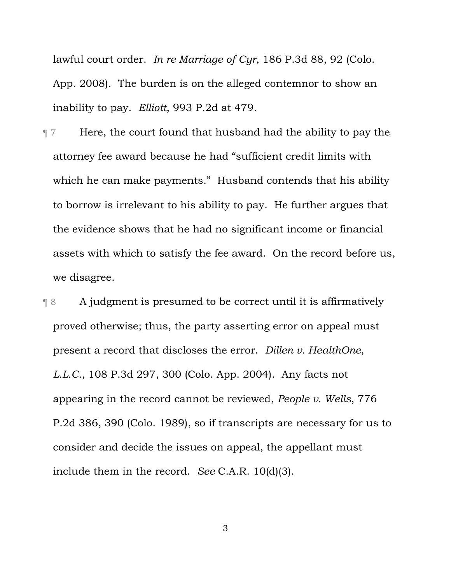lawful court order. *In re Marriage of Cyr*, 186 P.3d 88, 92 (Colo. App. 2008). The burden is on the alleged contemnor to show an inability to pay. *Elliott*, 993 P.2d at 479.

¶ 7 Here, the court found that husband had the ability to pay the attorney fee award because he had "sufficient credit limits with which he can make payments." Husband contends that his ability to borrow is irrelevant to his ability to pay. He further argues that the evidence shows that he had no significant income or financial assets with which to satisfy the fee award. On the record before us, we disagree.

¶ 8 A judgment is presumed to be correct until it is affirmatively proved otherwise; thus, the party asserting error on appeal must present a record that discloses the error. *Dillen v. HealthOne, L.L.C.*, 108 P.3d 297, 300 (Colo. App. 2004). Any facts not appearing in the record cannot be reviewed, *People v. Wells*, 776 P.2d 386, 390 (Colo. 1989), so if transcripts are necessary for us to consider and decide the issues on appeal, the appellant must include them in the record. *See* C.A.R. 10(d)(3).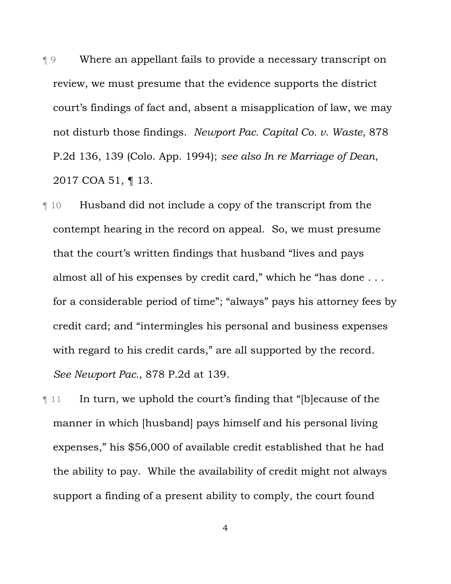¶ 9 Where an appellant fails to provide a necessary transcript on review, we must presume that the evidence supports the district court's findings of fact and, absent a misapplication of law, we may not disturb those findings. *Newport Pac. Capital Co. v. Waste*, 878 P.2d 136, 139 (Colo. App. 1994); *see also In re Marriage of Dean*, 2017 COA 51, ¶ 13.

¶ 10 Husband did not include a copy of the transcript from the contempt hearing in the record on appeal. So, we must presume that the court's written findings that husband "lives and pays almost all of his expenses by credit card," which he "has done . . . for a considerable period of time"; "always" pays his attorney fees by credit card; and "intermingles his personal and business expenses with regard to his credit cards," are all supported by the record. *See Newport Pac.*, 878 P.2d at 139.

¶ 11 In turn, we uphold the court's finding that "[b]ecause of the manner in which [husband] pays himself and his personal living expenses," his \$56,000 of available credit established that he had the ability to pay. While the availability of credit might not always support a finding of a present ability to comply, the court found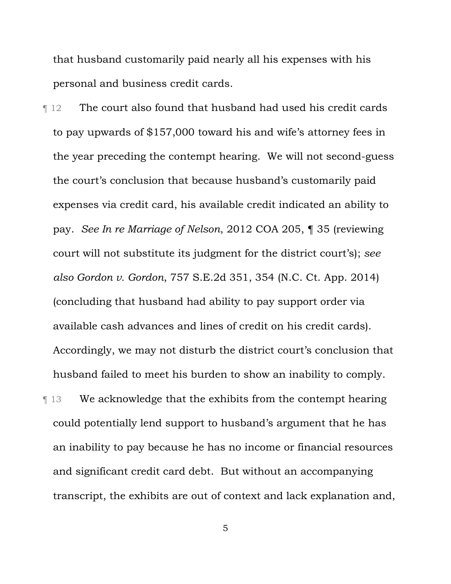that husband customarily paid nearly all his expenses with his personal and business credit cards.

¶ 12 The court also found that husband had used his credit cards to pay upwards of \$157,000 toward his and wife's attorney fees in the year preceding the contempt hearing. We will not second-guess the court's conclusion that because husband's customarily paid expenses via credit card, his available credit indicated an ability to pay. *See In re Marriage of Nelson*, 2012 COA 205, ¶ 35 (reviewing court will not substitute its judgment for the district court's); *see also Gordon v. Gordon*, 757 S.E.2d 351, 354 (N.C. Ct. App. 2014) (concluding that husband had ability to pay support order via available cash advances and lines of credit on his credit cards). Accordingly, we may not disturb the district court's conclusion that husband failed to meet his burden to show an inability to comply.

¶ 13 We acknowledge that the exhibits from the contempt hearing could potentially lend support to husband's argument that he has an inability to pay because he has no income or financial resources and significant credit card debt. But without an accompanying transcript, the exhibits are out of context and lack explanation and,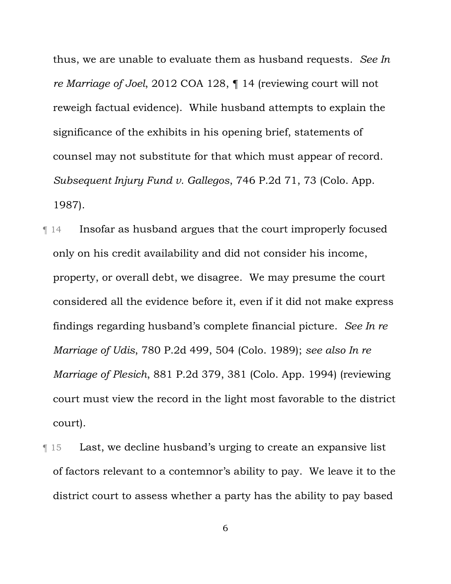thus, we are unable to evaluate them as husband requests. *See In re Marriage of Joel*, 2012 COA 128, ¶ 14 (reviewing court will not reweigh factual evidence). While husband attempts to explain the significance of the exhibits in his opening brief, statements of counsel may not substitute for that which must appear of record. *Subsequent Injury Fund v. Gallegos*, 746 P.2d 71, 73 (Colo. App. 1987).

- ¶ 14 Insofar as husband argues that the court improperly focused only on his credit availability and did not consider his income, property, or overall debt, we disagree. We may presume the court considered all the evidence before it, even if it did not make express findings regarding husband's complete financial picture. *See In re Marriage of Udis*, 780 P.2d 499, 504 (Colo. 1989); *see also In re Marriage of Plesich*, 881 P.2d 379, 381 (Colo. App. 1994) (reviewing court must view the record in the light most favorable to the district court).
- ¶ 15 Last, we decline husband's urging to create an expansive list of factors relevant to a contemnor's ability to pay. We leave it to the district court to assess whether a party has the ability to pay based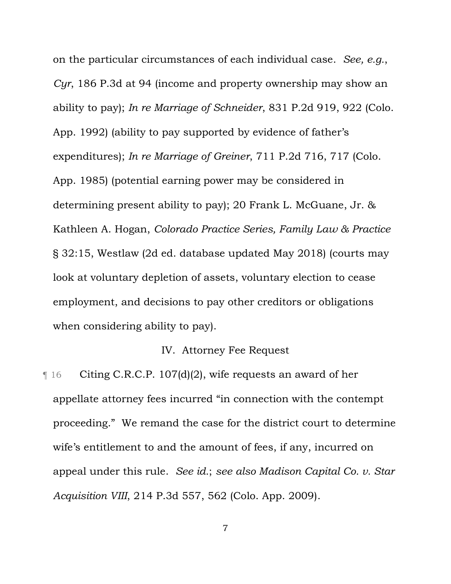on the particular circumstances of each individual case. *See, e.g.*, *Cyr*, 186 P.3d at 94 (income and property ownership may show an ability to pay); *In re Marriage of Schneider*, 831 P.2d 919, 922 (Colo. App. 1992) (ability to pay supported by evidence of father's expenditures); *In re Marriage of Greiner*, 711 P.2d 716, 717 (Colo. App. 1985) (potential earning power may be considered in determining present ability to pay); 20 Frank L. McGuane, Jr. & Kathleen A. Hogan, *Colorado Practice Series, Family Law & Practice* § 32:15, Westlaw (2d ed. database updated May 2018) (courts may look at voluntary depletion of assets, voluntary election to cease employment, and decisions to pay other creditors or obligations when considering ability to pay).

# IV. Attorney Fee Request

¶ 16 Citing C.R.C.P. 107(d)(2), wife requests an award of her appellate attorney fees incurred "in connection with the contempt proceeding." We remand the case for the district court to determine wife's entitlement to and the amount of fees, if any, incurred on appeal under this rule. *See id.*; *see also Madison Capital Co. v. Star Acquisition VIII*, 214 P.3d 557, 562 (Colo. App. 2009).